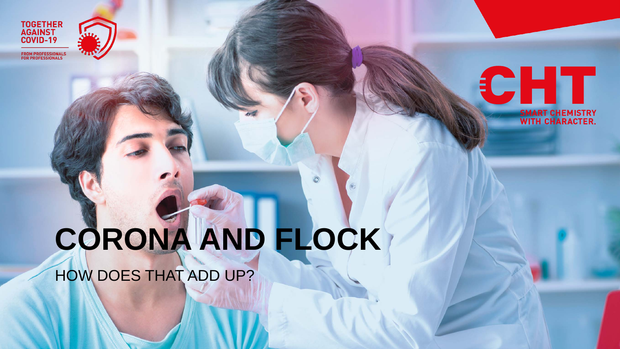

FROM PROFESSIONALS<br>FOR PROFESSIONALS

## CHT **SMART CHEMISTRY WITH CHARACTER.**

# **CORONA AND FLOCK**

HOW DOES THAT ADD UP?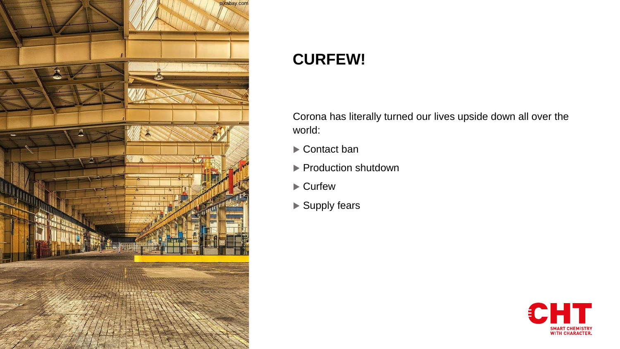

## **CURFEW!**

Corona has literally turned our lives upside down all over the world:

- ▶ Contact ban
- **Production shutdown**
- ▶ Curfew
- ▶ Supply fears

![](_page_1_Picture_7.jpeg)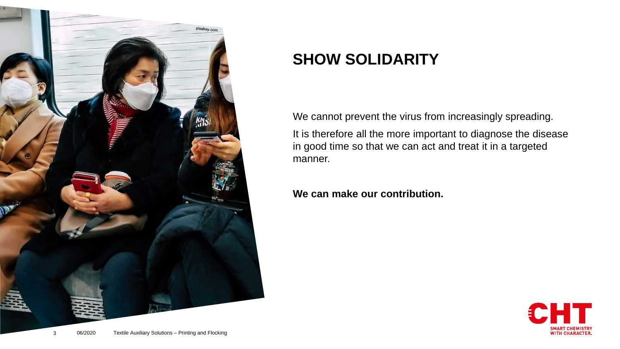![](_page_2_Picture_0.jpeg)

## **SHOW SOLIDARITY**

We cannot prevent the virus from increasingly spreading.

It is therefore all the more important to diagnose the disease in good time so that we can act and treat it in a targeted manner.

#### **We can make our contribution.**

![](_page_2_Picture_5.jpeg)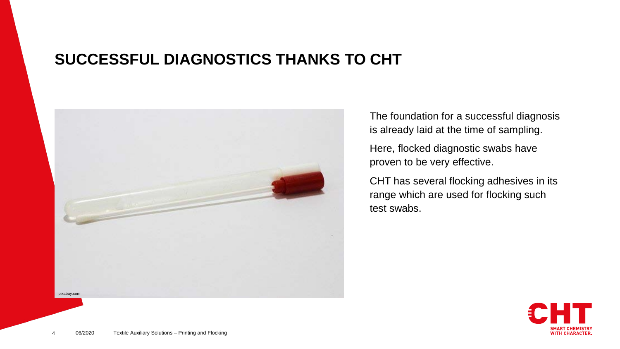## **SUCCESSFUL DIAGNOSTICS THANKS TO CHT**

![](_page_3_Picture_1.jpeg)

The foundation for a successful diagnosis is already laid at the time of sampling.

Here, flocked diagnostic swabs have proven to be very effective.

CHT has several flocking adhesives in its range which are used for flocking such test swabs.

![](_page_3_Picture_5.jpeg)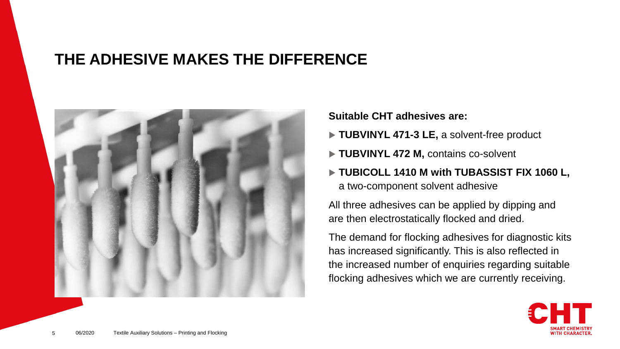### **THE ADHESIVE MAKES THE DIFFERENCE**

![](_page_4_Picture_1.jpeg)

#### **Suitable CHT adhesives are:**

- ▶ TUBVINYL 471-3 LE, a solvent-free product
- **TUBVINYL 472 M, contains co-solvent**
- **TUBICOLL 1410 M with TUBASSIST FIX 1060 L,**  a two-component solvent adhesive

All three adhesives can be applied by dipping and are then electrostatically flocked and dried.

The demand for flocking adhesives for diagnostic kits has increased significantly. This is also reflected in the increased number of enquiries regarding suitable flocking adhesives which we are currently receiving.

![](_page_4_Picture_8.jpeg)